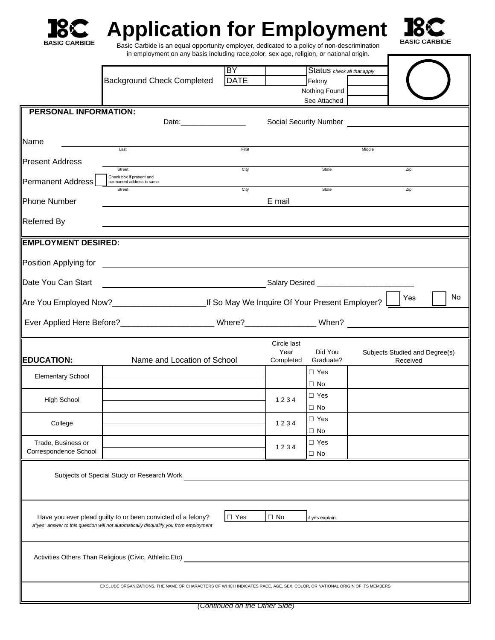

## **Application for Employment**



 Basic Carbide is an equal opportunity employer, dedicated to a policy of non-descrimination in employment on any basis including race,color, sex age, religion, or national origin.

|                                                                                                                           |                                                                                      | <b>BY</b>   |                   | Status check all that apply |        |                                            |  |    |  |
|---------------------------------------------------------------------------------------------------------------------------|--------------------------------------------------------------------------------------|-------------|-------------------|-----------------------------|--------|--------------------------------------------|--|----|--|
|                                                                                                                           | <b>Background Check Completed</b>                                                    | <b>DATE</b> |                   | Felony                      |        |                                            |  |    |  |
|                                                                                                                           |                                                                                      |             |                   | Nothing Found               |        |                                            |  |    |  |
|                                                                                                                           |                                                                                      |             |                   | See Attached                |        |                                            |  |    |  |
| <b>PERSONAL INFORMATION:</b>                                                                                              | Date: __________________                                                             |             |                   | Social Security Number      |        |                                            |  |    |  |
| Name                                                                                                                      | Last                                                                                 | First       |                   |                             | Middle |                                            |  |    |  |
| <b>Present Address</b>                                                                                                    | Street                                                                               | City        |                   | State                       |        | Zip                                        |  |    |  |
| Permanent Address                                                                                                         | Check box if present and<br>permanent address is same<br>Street                      | City        |                   | State                       |        | Zip                                        |  |    |  |
| <b>Phone Number</b>                                                                                                       |                                                                                      |             | E mail            |                             |        |                                            |  |    |  |
| <b>Referred By</b>                                                                                                        |                                                                                      |             |                   |                             |        |                                            |  |    |  |
| <b>EMPLOYMENT DESIRED:</b>                                                                                                |                                                                                      |             |                   |                             |        |                                            |  |    |  |
| Position Applying for                                                                                                     |                                                                                      |             |                   |                             |        |                                            |  |    |  |
| Date You Can Start                                                                                                        | <u>Salary Desired Community Community Salary Desired</u>                             |             |                   |                             |        |                                            |  |    |  |
|                                                                                                                           |                                                                                      |             |                   |                             |        | Yes                                        |  | No |  |
|                                                                                                                           |                                                                                      |             |                   |                             |        |                                            |  |    |  |
|                                                                                                                           |                                                                                      |             | Circle last       |                             |        |                                            |  |    |  |
| <b>EDUCATION:</b>                                                                                                         | Name and Location of School                                                          |             | Year<br>Completed | Did You<br>Graduate?        |        | Subjects Studied and Degree(s)<br>Received |  |    |  |
| <b>Elementary School</b>                                                                                                  |                                                                                      |             |                   | $\Box$ Yes<br>$\square$ No  |        |                                            |  |    |  |
| <b>High School</b>                                                                                                        |                                                                                      |             | 1234              | $\Box$ Yes<br>$\Box$ No     |        |                                            |  |    |  |
| College                                                                                                                   |                                                                                      |             | 1234              | $\square$ Yes               |        |                                            |  |    |  |
| Trade, Business or                                                                                                        |                                                                                      |             | 1234              | $\Box$ No<br>$\Box$ Yes     |        |                                            |  |    |  |
| Correspondence School                                                                                                     |                                                                                      |             |                   | $\Box$ No                   |        |                                            |  |    |  |
|                                                                                                                           | Subjects of Special Study or Research Work                                           |             |                   |                             |        |                                            |  |    |  |
|                                                                                                                           |                                                                                      |             |                   |                             |        |                                            |  |    |  |
| $\square$ Yes<br>Have you ever plead guilty to or been convicted of a felony?<br>$\Box$ No<br>if yes explain              |                                                                                      |             |                   |                             |        |                                            |  |    |  |
|                                                                                                                           | a"yes" answer to this question will not automatically disqualify you from employment |             |                   |                             |        |                                            |  |    |  |
| Activities Others Than Religious (Civic, Athletic.Etc)                                                                    |                                                                                      |             |                   |                             |        |                                            |  |    |  |
|                                                                                                                           |                                                                                      |             |                   |                             |        |                                            |  |    |  |
| EXCLUDE ORGANIZATIONS, THE NAME OR CHARACTERS OF WHICH INDICATES RACE, AGE, SEX, COLOR, OR NATIONAL ORIGIN OF ITS MEMBERS |                                                                                      |             |                   |                             |        |                                            |  |    |  |